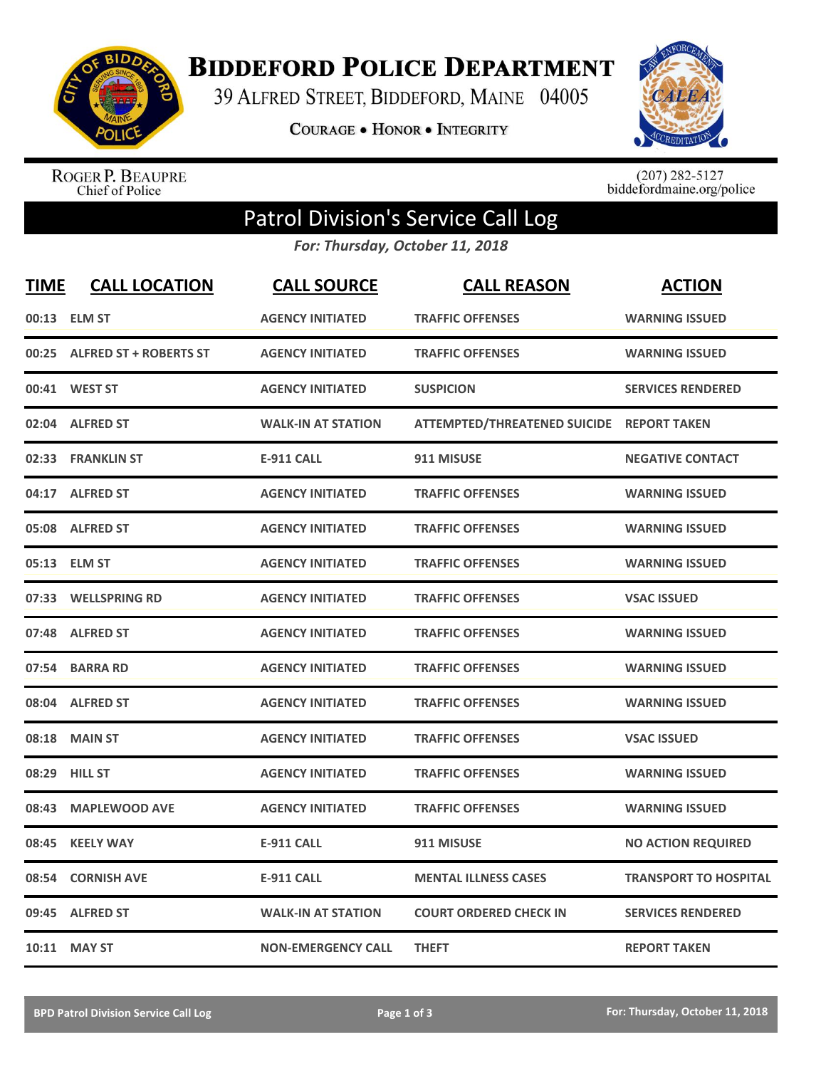

**BIDDEFORD POLICE DEPARTMENT** 

39 ALFRED STREET, BIDDEFORD, MAINE 04005

COURAGE . HONOR . INTEGRITY



ROGER P. BEAUPRE<br>Chief of Police

 $(207)$  282-5127<br>biddefordmaine.org/police

## Patrol Division's Service Call Log

*For: Thursday, October 11, 2018*

| <b>TIME</b> | <b>CALL LOCATION</b>         | <b>CALL SOURCE</b>        | <b>CALL REASON</b>                        | <b>ACTION</b>                |
|-------------|------------------------------|---------------------------|-------------------------------------------|------------------------------|
|             | 00:13 ELM ST                 | <b>AGENCY INITIATED</b>   | <b>TRAFFIC OFFENSES</b>                   | <b>WARNING ISSUED</b>        |
|             | 00:25 ALFRED ST + ROBERTS ST | <b>AGENCY INITIATED</b>   | <b>TRAFFIC OFFENSES</b>                   | <b>WARNING ISSUED</b>        |
|             | 00:41 WEST ST                | <b>AGENCY INITIATED</b>   | <b>SUSPICION</b>                          | <b>SERVICES RENDERED</b>     |
|             | 02:04 ALFRED ST              | <b>WALK-IN AT STATION</b> | ATTEMPTED/THREATENED SUICIDE REPORT TAKEN |                              |
|             | 02:33 FRANKLIN ST            | <b>E-911 CALL</b>         | 911 MISUSE                                | <b>NEGATIVE CONTACT</b>      |
|             | 04:17 ALFRED ST              | <b>AGENCY INITIATED</b>   | <b>TRAFFIC OFFENSES</b>                   | <b>WARNING ISSUED</b>        |
|             | 05:08 ALFRED ST              | <b>AGENCY INITIATED</b>   | <b>TRAFFIC OFFENSES</b>                   | <b>WARNING ISSUED</b>        |
|             | 05:13 ELM ST                 | <b>AGENCY INITIATED</b>   | <b>TRAFFIC OFFENSES</b>                   | <b>WARNING ISSUED</b>        |
| 07:33       | <b>WELLSPRING RD</b>         | <b>AGENCY INITIATED</b>   | <b>TRAFFIC OFFENSES</b>                   | <b>VSAC ISSUED</b>           |
| 07:48       | <b>ALFRED ST</b>             | <b>AGENCY INITIATED</b>   | <b>TRAFFIC OFFENSES</b>                   | <b>WARNING ISSUED</b>        |
|             | 07:54 BARRA RD               | <b>AGENCY INITIATED</b>   | <b>TRAFFIC OFFENSES</b>                   | <b>WARNING ISSUED</b>        |
|             | 08:04 ALFRED ST              | <b>AGENCY INITIATED</b>   | <b>TRAFFIC OFFENSES</b>                   | <b>WARNING ISSUED</b>        |
| 08:18       | <b>MAIN ST</b>               | <b>AGENCY INITIATED</b>   | <b>TRAFFIC OFFENSES</b>                   | <b>VSAC ISSUED</b>           |
| 08:29       | <b>HILL ST</b>               | <b>AGENCY INITIATED</b>   | <b>TRAFFIC OFFENSES</b>                   | <b>WARNING ISSUED</b>        |
| 08:43       | <b>MAPLEWOOD AVE</b>         | <b>AGENCY INITIATED</b>   | <b>TRAFFIC OFFENSES</b>                   | <b>WARNING ISSUED</b>        |
| 08:45       | <b>KEELY WAY</b>             | <b>E-911 CALL</b>         | 911 MISUSE                                | <b>NO ACTION REQUIRED</b>    |
| 08:54       | <b>CORNISH AVE</b>           | <b>E-911 CALL</b>         | <b>MENTAL ILLNESS CASES</b>               | <b>TRANSPORT TO HOSPITAL</b> |
| 09:45       | <b>ALFRED ST</b>             | <b>WALK-IN AT STATION</b> | <b>COURT ORDERED CHECK IN</b>             | <b>SERVICES RENDERED</b>     |
|             | 10:11 MAY ST                 | <b>NON-EMERGENCY CALL</b> | <b>THEFT</b>                              | <b>REPORT TAKEN</b>          |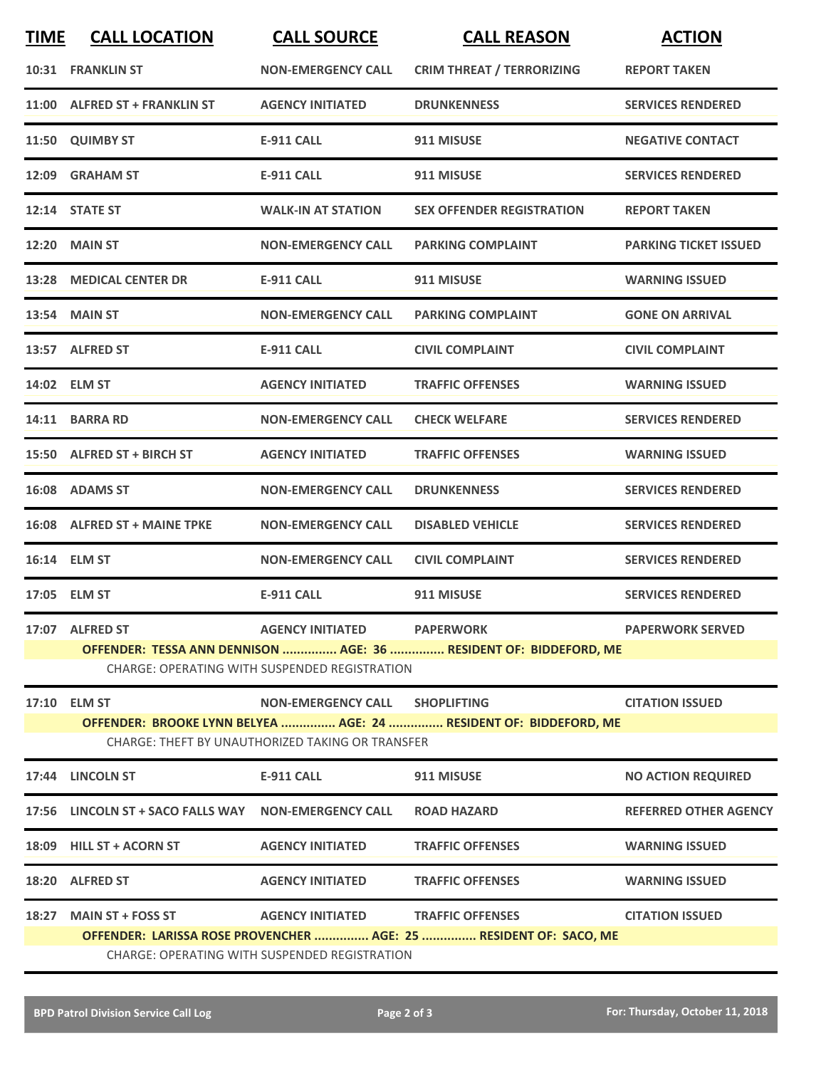| <b>TIME</b> | <b>CALL LOCATION</b>                                                                                                         | <b>CALL SOURCE</b>                | <b>CALL REASON</b>               | <b>ACTION</b>                |  |  |  |
|-------------|------------------------------------------------------------------------------------------------------------------------------|-----------------------------------|----------------------------------|------------------------------|--|--|--|
|             | <b>10:31 FRANKLIN ST</b>                                                                                                     | <b>NON-EMERGENCY CALL</b>         | <b>CRIM THREAT / TERRORIZING</b> | <b>REPORT TAKEN</b>          |  |  |  |
|             | 11:00 ALFRED ST + FRANKLIN ST                                                                                                | <b>AGENCY INITIATED</b>           | <b>DRUNKENNESS</b>               | <b>SERVICES RENDERED</b>     |  |  |  |
|             | 11:50 QUIMBY ST                                                                                                              | <b>E-911 CALL</b>                 | 911 MISUSE                       | <b>NEGATIVE CONTACT</b>      |  |  |  |
|             | 12:09 GRAHAM ST                                                                                                              | E-911 CALL                        | 911 MISUSE                       | <b>SERVICES RENDERED</b>     |  |  |  |
|             | 12:14 STATE ST                                                                                                               | <b>WALK-IN AT STATION</b>         | <b>SEX OFFENDER REGISTRATION</b> | <b>REPORT TAKEN</b>          |  |  |  |
|             | <b>12:20 MAIN ST</b>                                                                                                         | <b>NON-EMERGENCY CALL</b>         | <b>PARKING COMPLAINT</b>         | <b>PARKING TICKET ISSUED</b> |  |  |  |
|             | 13:28 MEDICAL CENTER DR                                                                                                      | <b>E-911 CALL</b>                 | 911 MISUSE                       | <b>WARNING ISSUED</b>        |  |  |  |
|             | 13:54 MAIN ST                                                                                                                | <b>NON-EMERGENCY CALL</b>         | <b>PARKING COMPLAINT</b>         | <b>GONE ON ARRIVAL</b>       |  |  |  |
|             | 13:57 ALFRED ST                                                                                                              | <b>E-911 CALL</b>                 | <b>CIVIL COMPLAINT</b>           | <b>CIVIL COMPLAINT</b>       |  |  |  |
|             | 14:02 ELM ST                                                                                                                 | <b>AGENCY INITIATED</b>           | <b>TRAFFIC OFFENSES</b>          | <b>WARNING ISSUED</b>        |  |  |  |
|             | 14:11 BARRA RD                                                                                                               | <b>NON-EMERGENCY CALL</b>         | <b>CHECK WELFARE</b>             | <b>SERVICES RENDERED</b>     |  |  |  |
|             | 15:50 ALFRED ST + BIRCH ST                                                                                                   | <b>AGENCY INITIATED</b>           | <b>TRAFFIC OFFENSES</b>          | <b>WARNING ISSUED</b>        |  |  |  |
|             | 16:08 ADAMS ST                                                                                                               | <b>NON-EMERGENCY CALL</b>         | <b>DRUNKENNESS</b>               | <b>SERVICES RENDERED</b>     |  |  |  |
| 16:08       | <b>ALFRED ST + MAINE TPKE</b>                                                                                                | <b>NON-EMERGENCY CALL</b>         | <b>DISABLED VEHICLE</b>          | <b>SERVICES RENDERED</b>     |  |  |  |
|             | 16:14 ELM ST                                                                                                                 | <b>NON-EMERGENCY CALL</b>         | <b>CIVIL COMPLAINT</b>           | <b>SERVICES RENDERED</b>     |  |  |  |
|             | 17:05 ELM ST                                                                                                                 | <b>E-911 CALL</b>                 | 911 MISUSE                       | <b>SERVICES RENDERED</b>     |  |  |  |
|             | 17:07 ALFRED ST                                                                                                              | <b>AGENCY INITIATED</b>           | <b>PAPERWORK</b>                 | <b>PAPERWORK SERVED</b>      |  |  |  |
|             | OFFENDER: TESSA ANN DENNISON  AGE: 36  RESIDENT OF: BIDDEFORD, ME<br><b>CHARGE: OPERATING WITH SUSPENDED REGISTRATION</b>    |                                   |                                  |                              |  |  |  |
|             | 17:10 ELM ST                                                                                                                 | NON-EMERGENCY CALL SHOPLIFTING    |                                  | <b>CITATION ISSUED</b>       |  |  |  |
|             | OFFENDER: BROOKE LYNN BELYEA  AGE: 24  RESIDENT OF: BIDDEFORD, ME<br><b>CHARGE: THEFT BY UNAUTHORIZED TAKING OR TRANSFER</b> |                                   |                                  |                              |  |  |  |
|             | 17:44 LINCOLN ST                                                                                                             | <b>E-911 CALL</b>                 | 911 MISUSE                       | <b>NO ACTION REQUIRED</b>    |  |  |  |
|             | 17:56 LINCOLN ST + SACO FALLS WAY NON-EMERGENCY CALL                                                                         |                                   | <b>ROAD HAZARD</b>               | <b>REFERRED OTHER AGENCY</b> |  |  |  |
|             | 18:09 HILL ST + ACORN ST                                                                                                     | <b>AGENCY INITIATED</b>           | <b>TRAFFIC OFFENSES</b>          | <b>WARNING ISSUED</b>        |  |  |  |
|             | 18:20 ALFRED ST                                                                                                              | <b>AGENCY INITIATED</b>           | <b>TRAFFIC OFFENSES</b>          | <b>WARNING ISSUED</b>        |  |  |  |
|             | 18:27 MAIN ST + FOSS ST                                                                                                      | AGENCY INITIATED TRAFFIC OFFENSES |                                  | <b>CITATION ISSUED</b>       |  |  |  |
|             | OFFENDER: LARISSA ROSE PROVENCHER  AGE: 25  RESIDENT OF: SACO, ME<br><b>CHARGE: OPERATING WITH SUSPENDED REGISTRATION</b>    |                                   |                                  |                              |  |  |  |